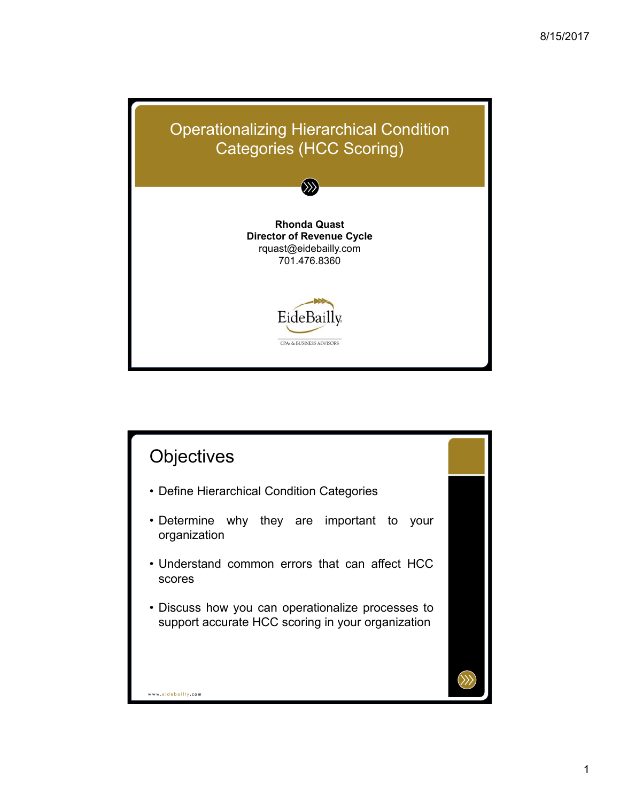

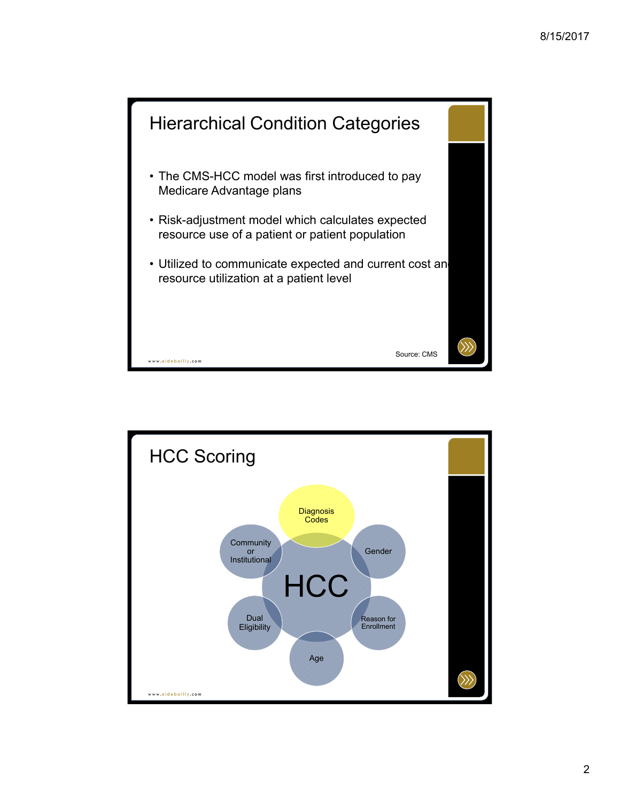

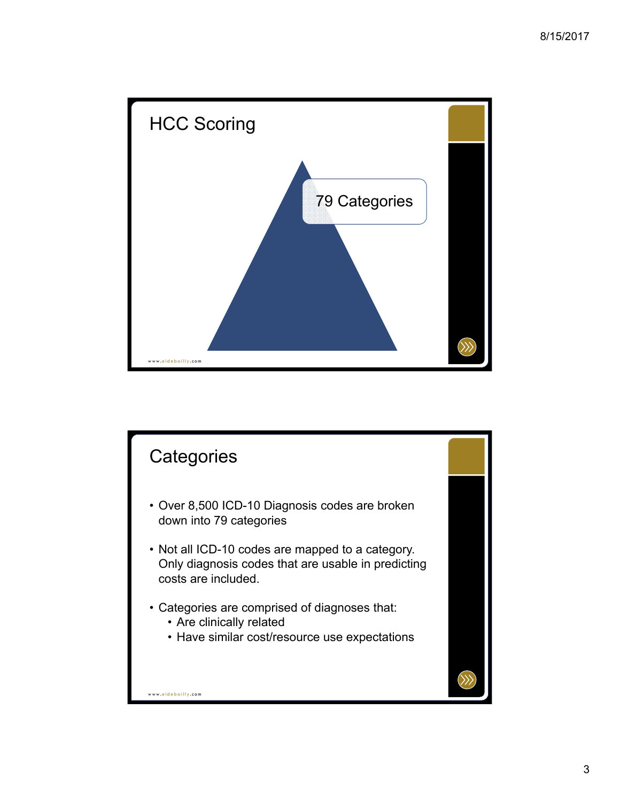

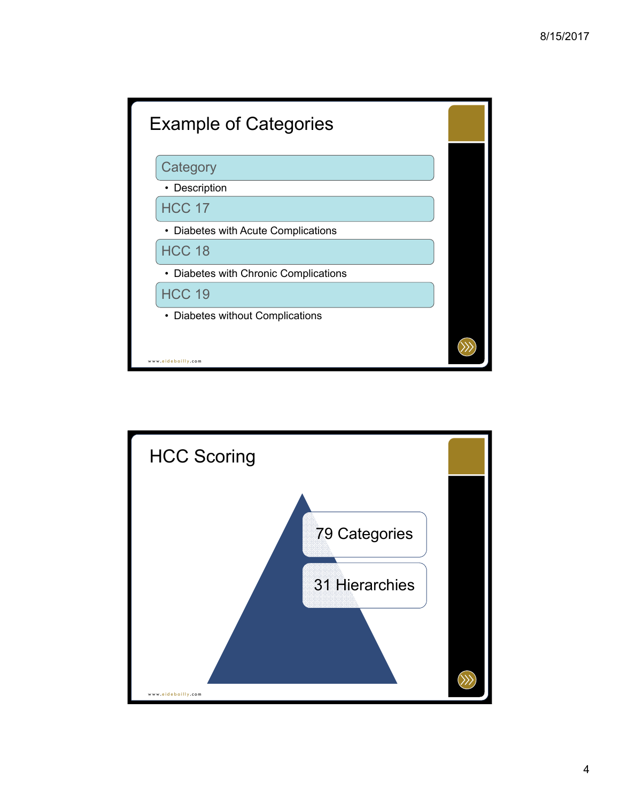

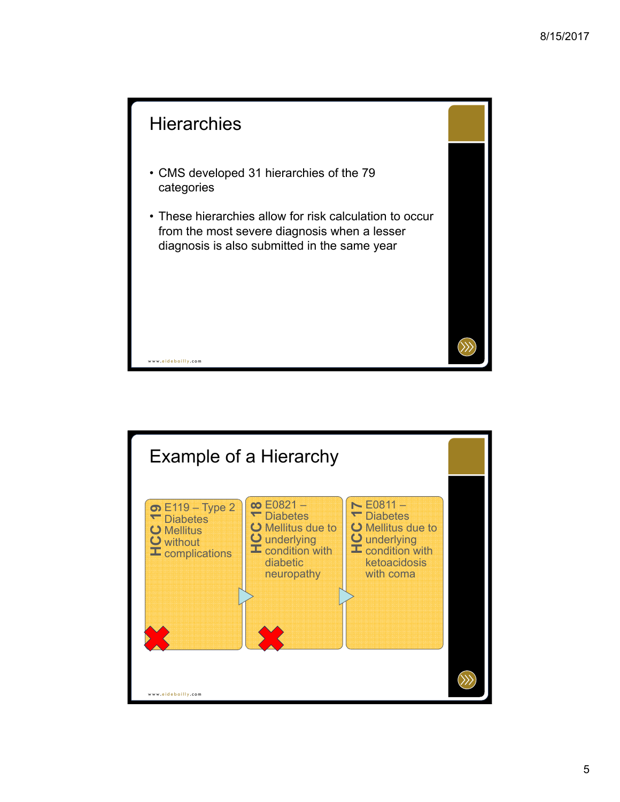

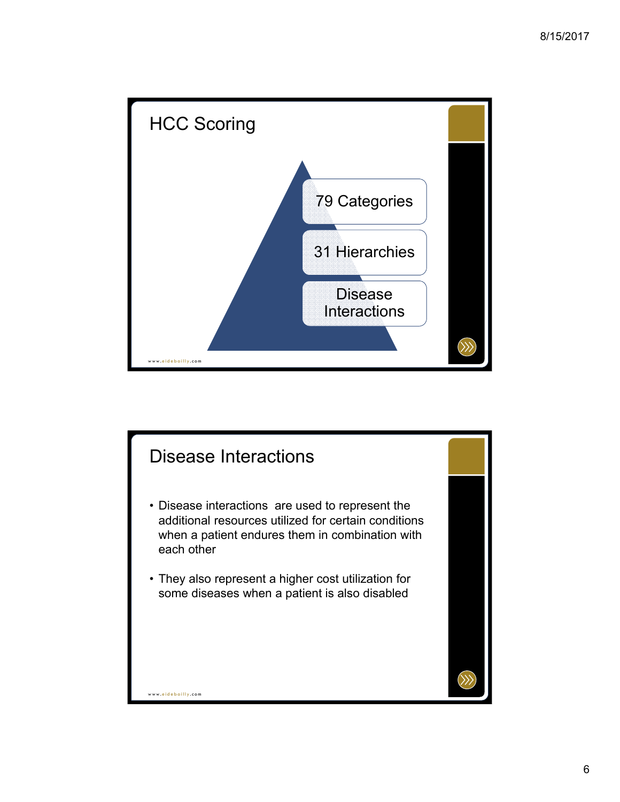

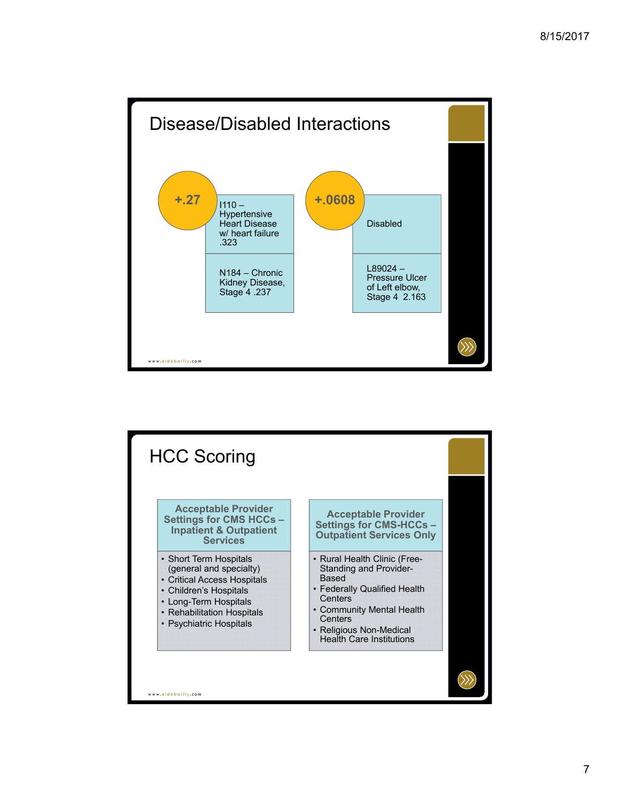

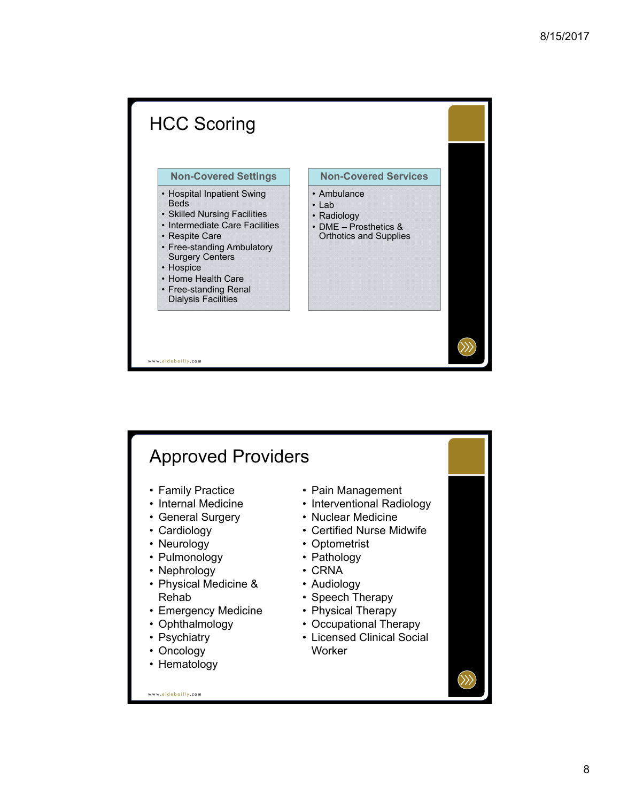

## Approved Providers

- Family Practice
- Internal Medicine
- General Surgery
- Cardiology
- Neurology
- Pulmonology
- Nephrology
- Physical Medicine & Rehab
- Emergency Medicine
- Ophthalmology
- Psychiatry
- Oncology
- Hematology

• Pain Management

- Interventional Radiology
- Nuclear Medicine • Certified Nurse Midwife
- 
- Optometrist • Pathology
- CRNA
- 
- Audiology
- Speech Therapy
- Physical Therapy
- Occupational Therapy
- Licensed Clinical Social **Worker**

www. eidebailly .com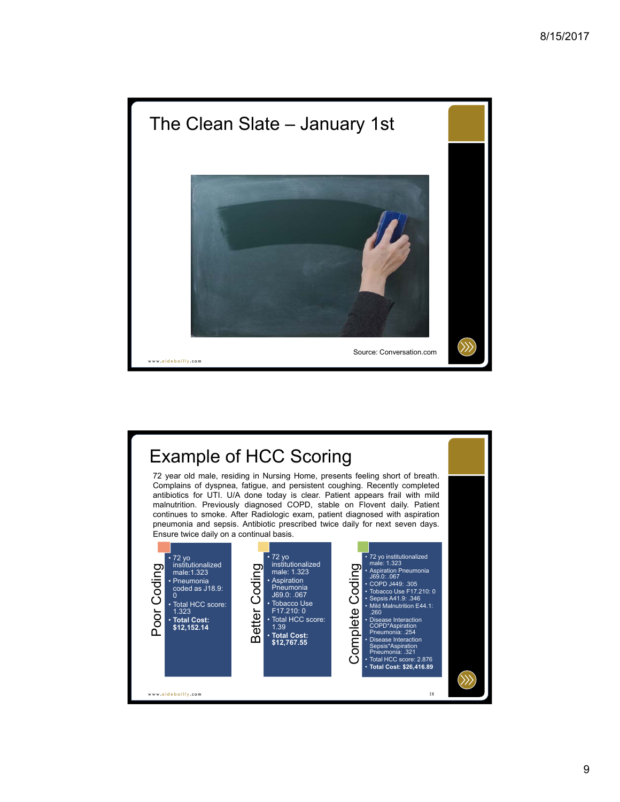

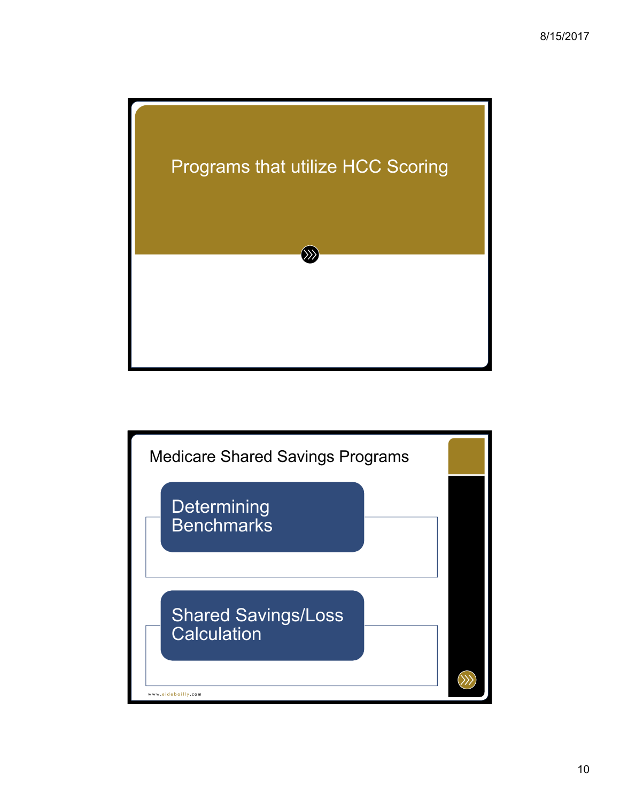

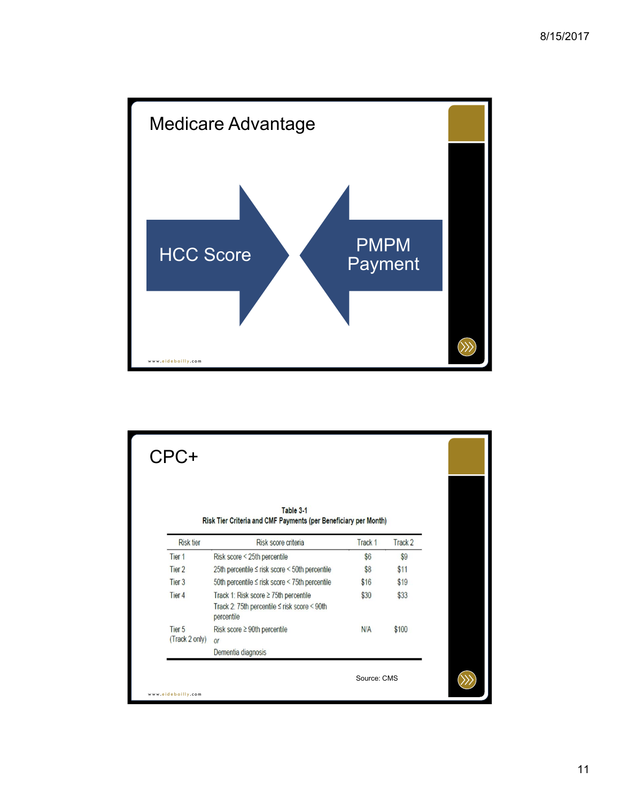

| CPC+                                |                                                                                                                    |                    |         |
|-------------------------------------|--------------------------------------------------------------------------------------------------------------------|--------------------|---------|
|                                     | Table 3-1<br>Risk Tier Criteria and CMF Payments (per Beneficiary per Month)                                       |                    |         |
| <b>Risk tier</b>                    | Risk score criteria                                                                                                | Track <sub>1</sub> | Track 2 |
| Tier <sub>1</sub>                   | Risk score < 25th percentile                                                                                       | \$6                | \$9     |
| Tier <sub>2</sub>                   | 25th percentile ≤ risk score < 50th percentile                                                                     | \$8                | \$11    |
| Tier <sub>3</sub>                   | 50th percentile ≤ risk score < 75th percentile                                                                     | \$16               | \$19    |
| Tier <sub>4</sub>                   | Track 1: Risk score $\geq$ 75th percentile<br>Track 2: 75th percentile $\leq$ risk score $\leq$ 90th<br>percentile | \$30               | \$33    |
| Tier <sub>5</sub><br>(Track 2 only) | Risk score ≥ 90th percentile<br><b>Or</b>                                                                          | N/A                | \$100   |
|                                     | Dementia diagnosis                                                                                                 |                    |         |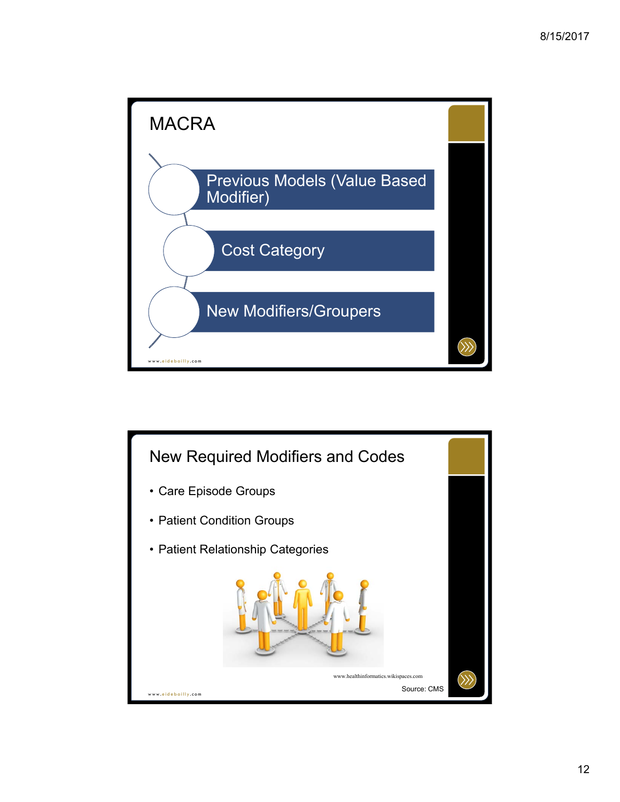

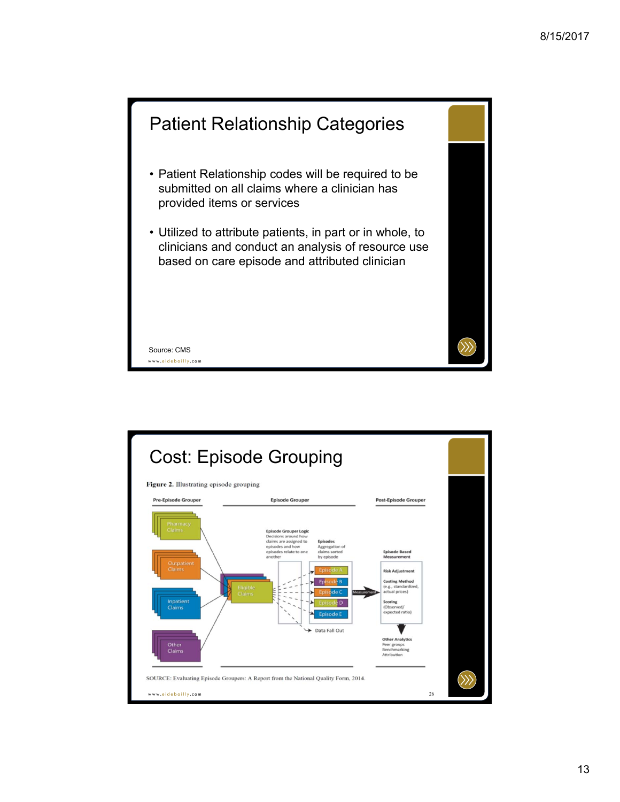

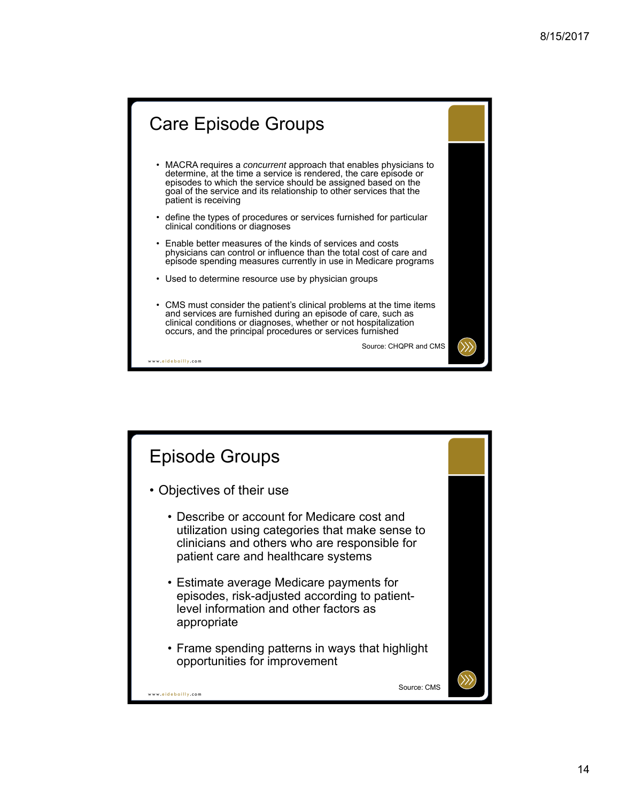## www. eidebailly .com Care Episode Groups • MACRA requires a *concurrent* approach that enables physicians to determine, at the time a service is rendered, the care episode or episodes to which the service should be assigned based on the goal of the service and its relationship to other services that the patient is receiving • define the types of procedures or services furnished for particular clinical conditions or diagnoses • Enable better measures of the kinds of services and costs physicians can control or influence than the total cost of care and episode spending measures currently in use in Medicare programs • Used to determine resource use by physician groups • CMS must consider the patient's clinical problems at the time items and services are furnished during an episode of care, such as clinical conditions or diagnoses, whether or not hospitalization occurs, and the principal procedures or services furnished Source: CHQPR and CMS

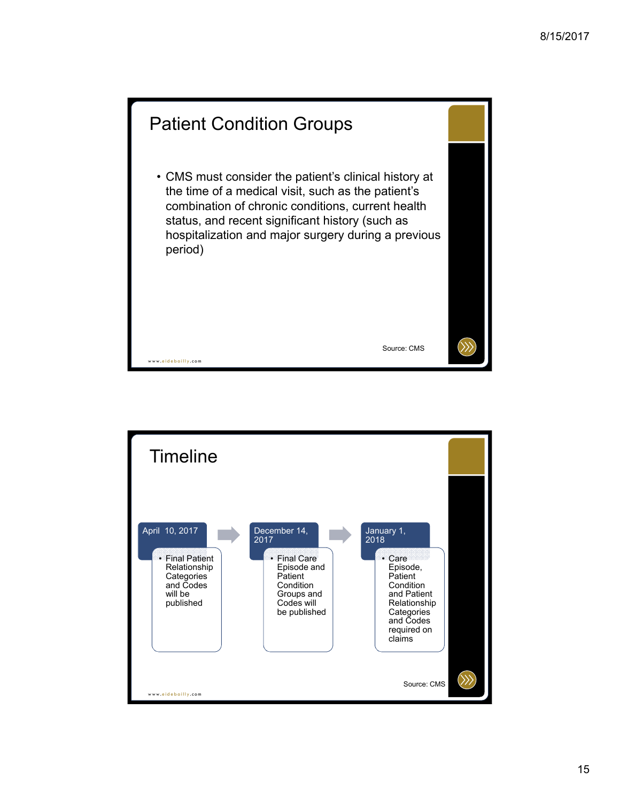

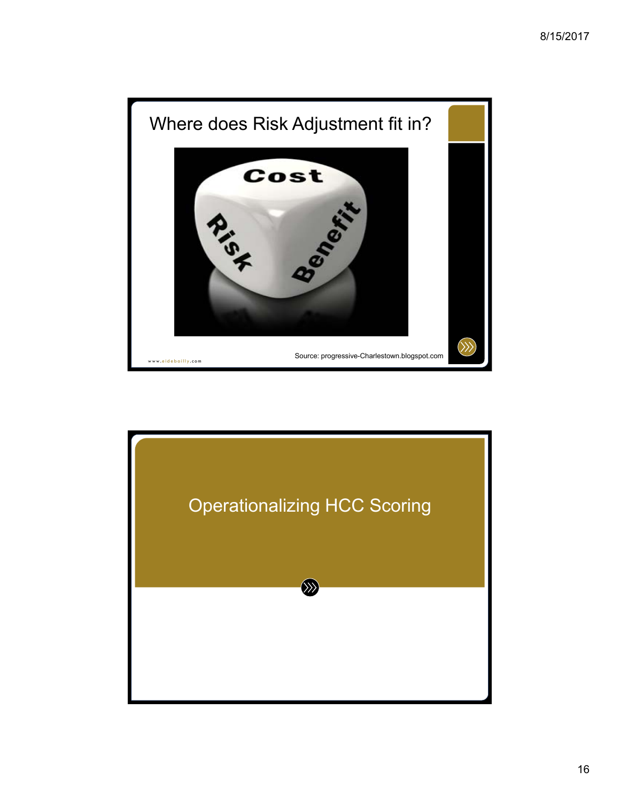

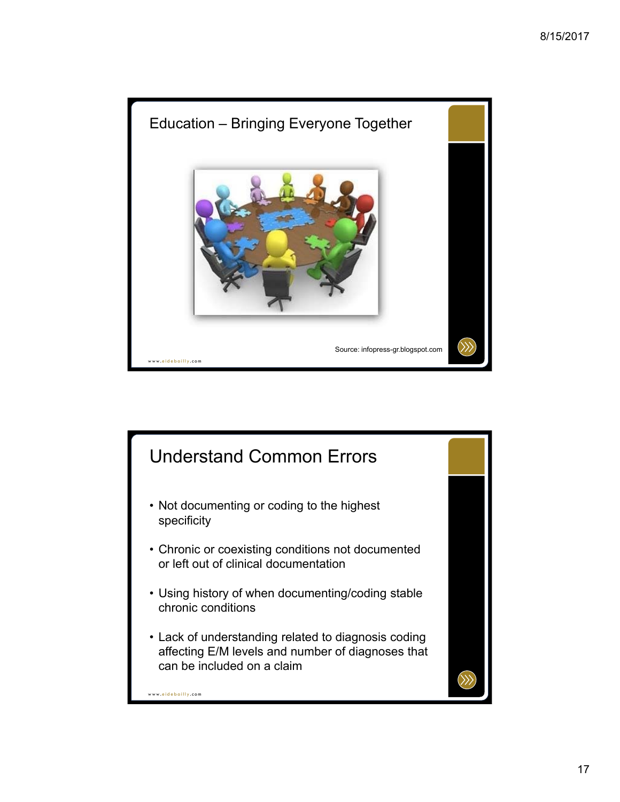

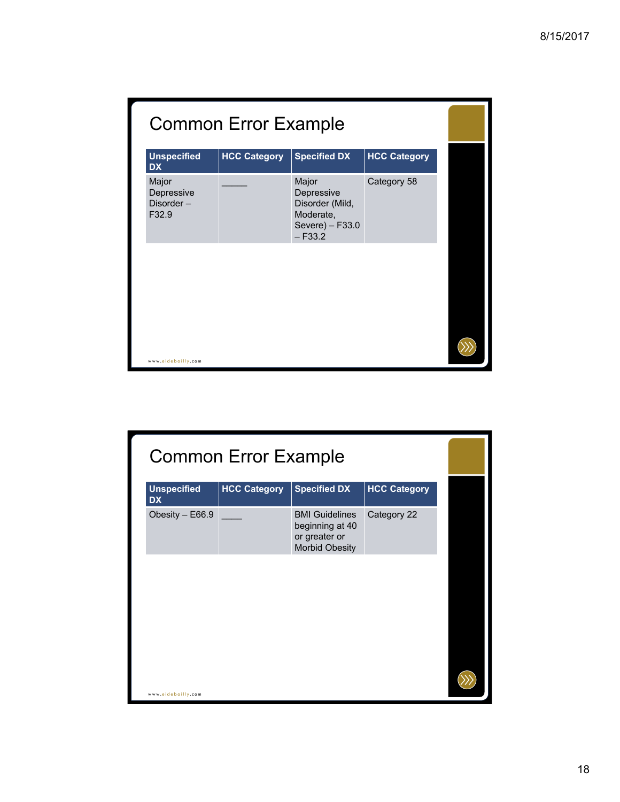| <b>Common Error Example</b>               |                     |                                                                                     |                     |  |
|-------------------------------------------|---------------------|-------------------------------------------------------------------------------------|---------------------|--|
| <b>Unspecified</b><br><b>DX</b>           | <b>HCC Category</b> | <b>Specified DX</b>                                                                 | <b>HCC Category</b> |  |
| Major<br>Depressive<br>Disorder-<br>F32.9 |                     | Major<br>Depressive<br>Disorder (Mild,<br>Moderate,<br>Severe) - F33.0<br>$- F33.2$ | Category 58         |  |
|                                           |                     |                                                                                     |                     |  |
|                                           |                     |                                                                                     |                     |  |
| www.eidebailly.com                        |                     |                                                                                     |                     |  |

|                                 | <b>Common Error Example</b> |                                                                                    |                     |  |
|---------------------------------|-----------------------------|------------------------------------------------------------------------------------|---------------------|--|
| <b>Unspecified</b><br><b>DX</b> | <b>HCC Category</b>         | <b>Specified DX</b>                                                                | <b>HCC Category</b> |  |
| Obesity - E66.9                 |                             | <b>BMI Guidelines</b><br>beginning at 40<br>or greater or<br><b>Morbid Obesity</b> | Category 22         |  |
|                                 |                             |                                                                                    |                     |  |
|                                 |                             |                                                                                    |                     |  |
|                                 |                             |                                                                                    |                     |  |
| www.eidebailly.com              |                             |                                                                                    |                     |  |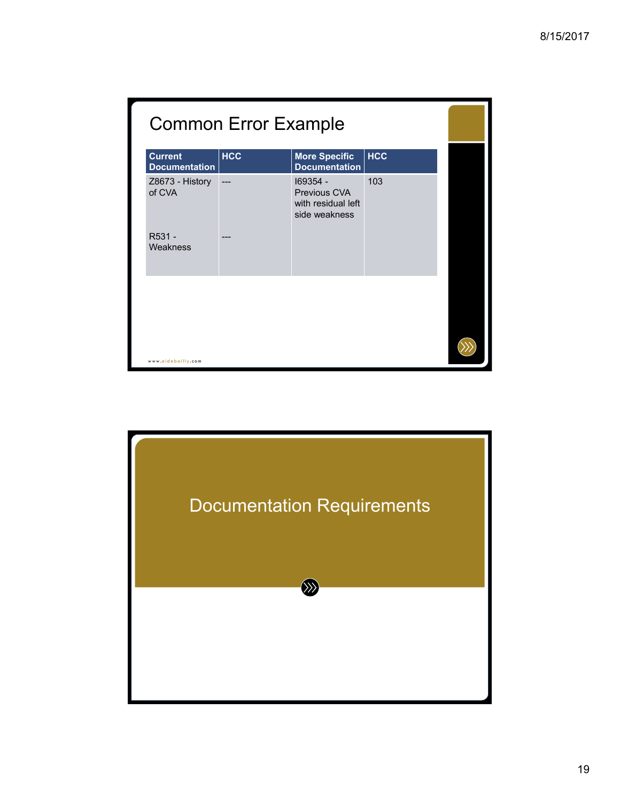| <b>Common Error Example</b>            |            |                                                                 |            |  |
|----------------------------------------|------------|-----------------------------------------------------------------|------------|--|
| <b>Current</b><br><b>Documentation</b> | <b>HCC</b> | <b>More Specific</b><br><b>Documentation</b>                    | <b>HCC</b> |  |
| Z8673 - History<br>of CVA              |            | 169354 -<br>Previous CVA<br>with residual left<br>side weakness | 103        |  |
| R531 -<br>Weakness                     |            |                                                                 |            |  |
|                                        |            |                                                                 |            |  |
| www.eidebailly.com                     |            |                                                                 |            |  |

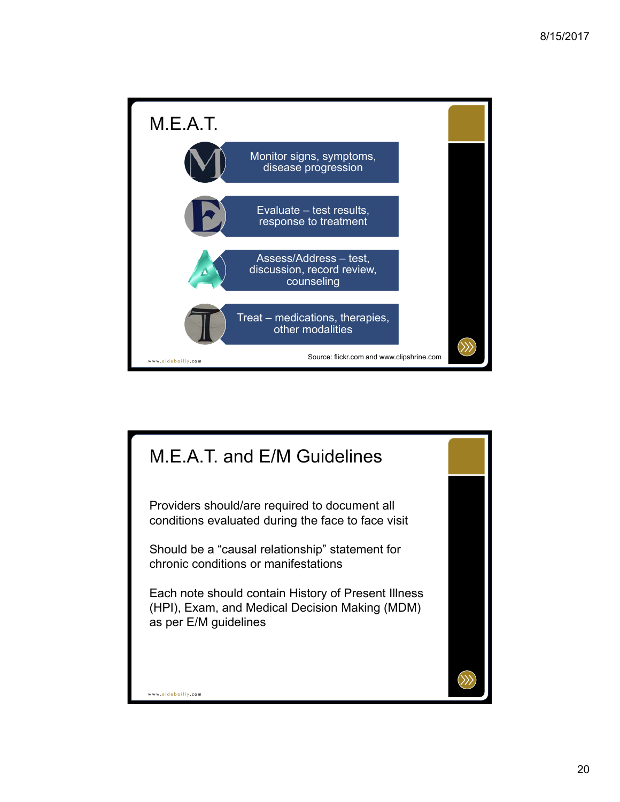

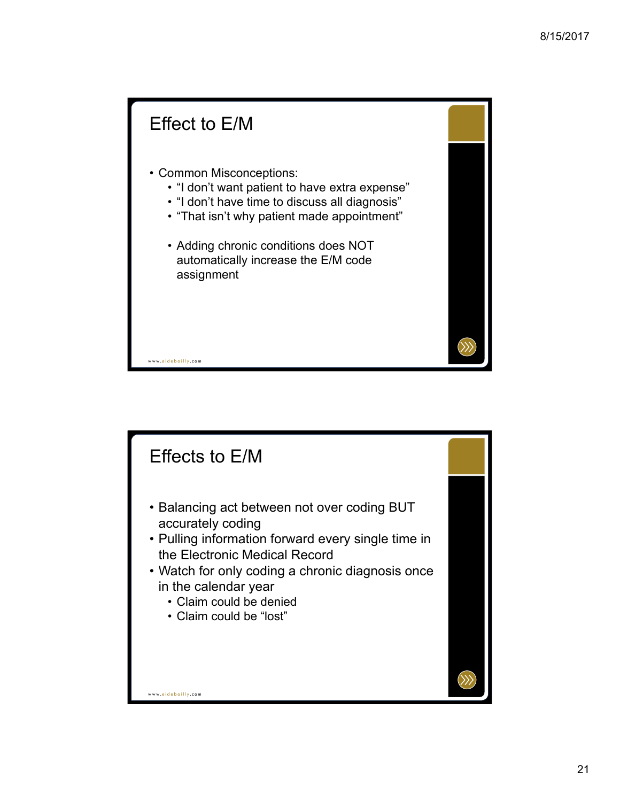## www. eidebailly .com Effect to E/M • Common Misconceptions: • "I don't want patient to have extra expense" • "I don't have time to discuss all diagnosis" • "That isn't why patient made appointment" • Adding chronic conditions does NOT automatically increase the E/M code assignment

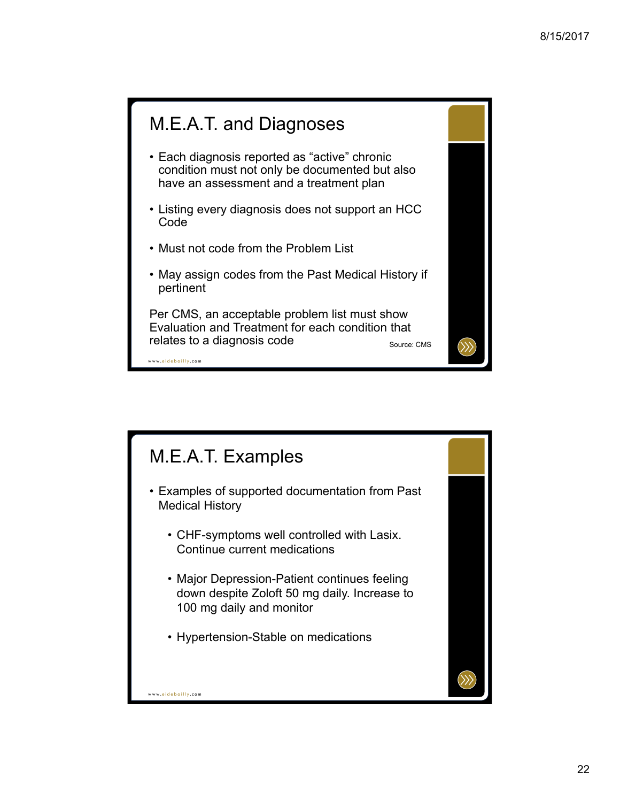## M.E.A.T. and Diagnoses

- Each diagnosis reported as "active" chronic condition must not only be documented but also have an assessment and a treatment plan
- Listing every diagnosis does not support an HCC Code
- Must not code from the Problem List
- May assign codes from the Past Medical History if pertinent

Per CMS, an acceptable problem list must show Evaluation and Treatment for each condition that relates to a diagnosis code Source: CMS

www. eidebailly .com

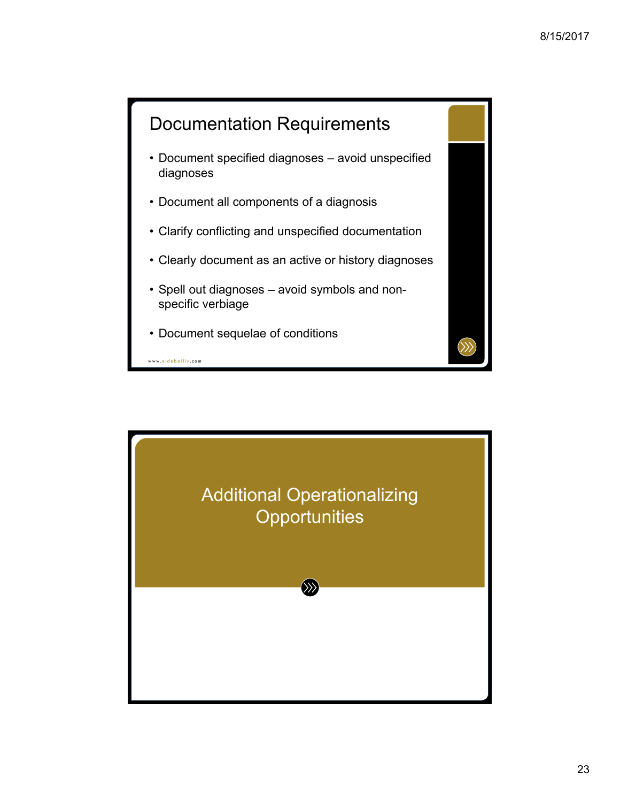

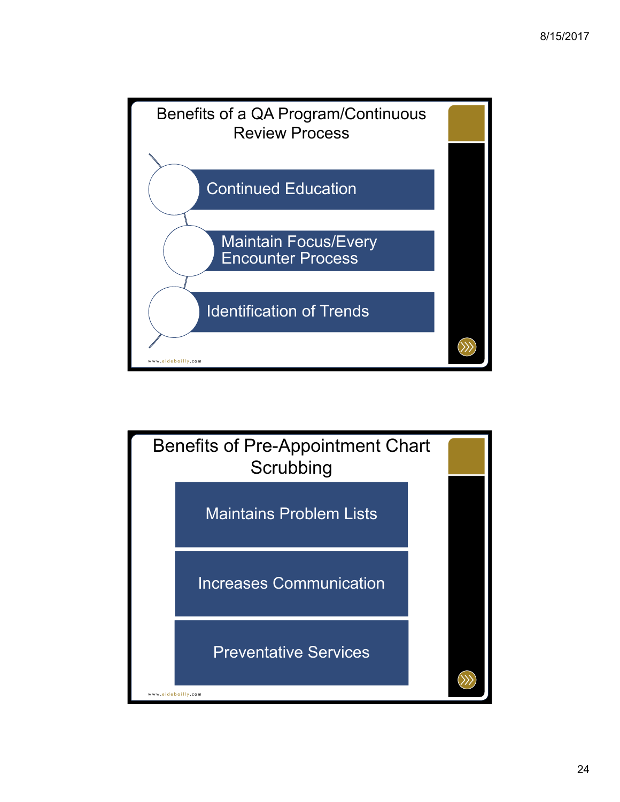

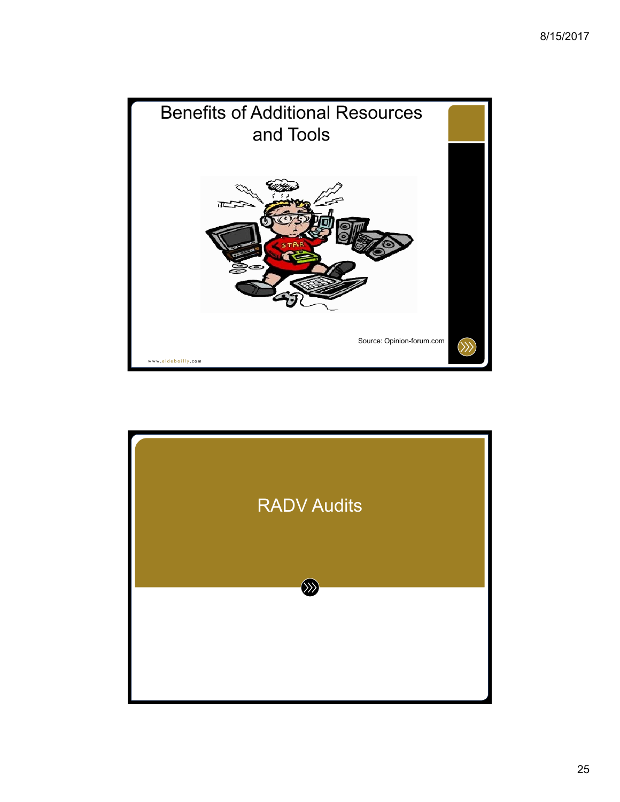

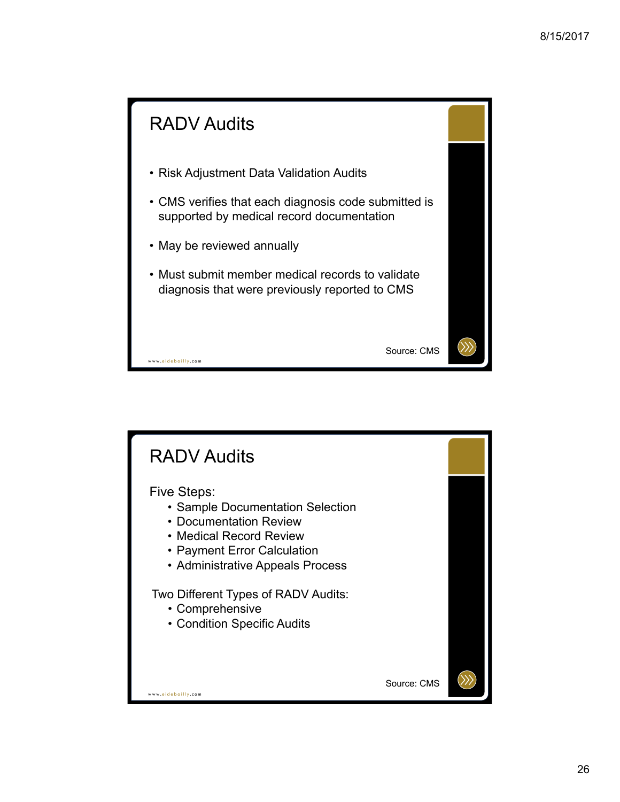

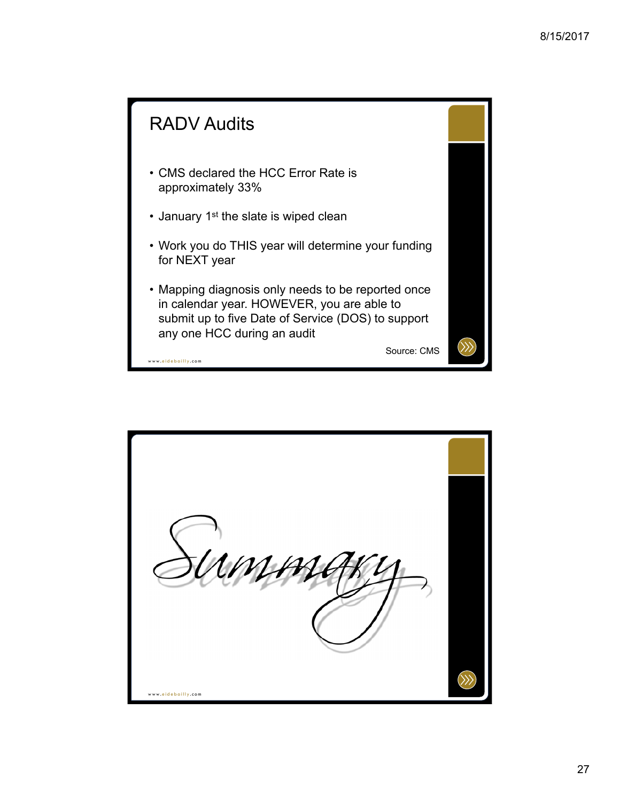

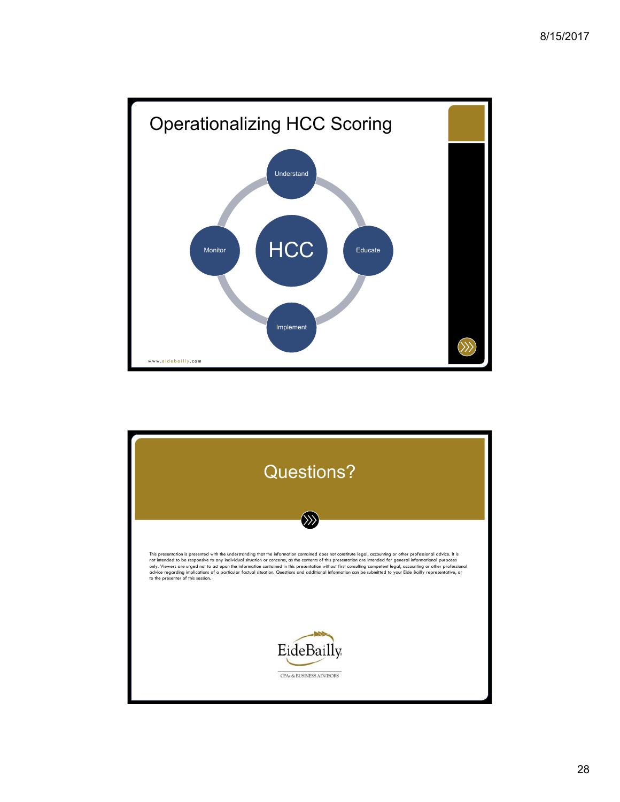